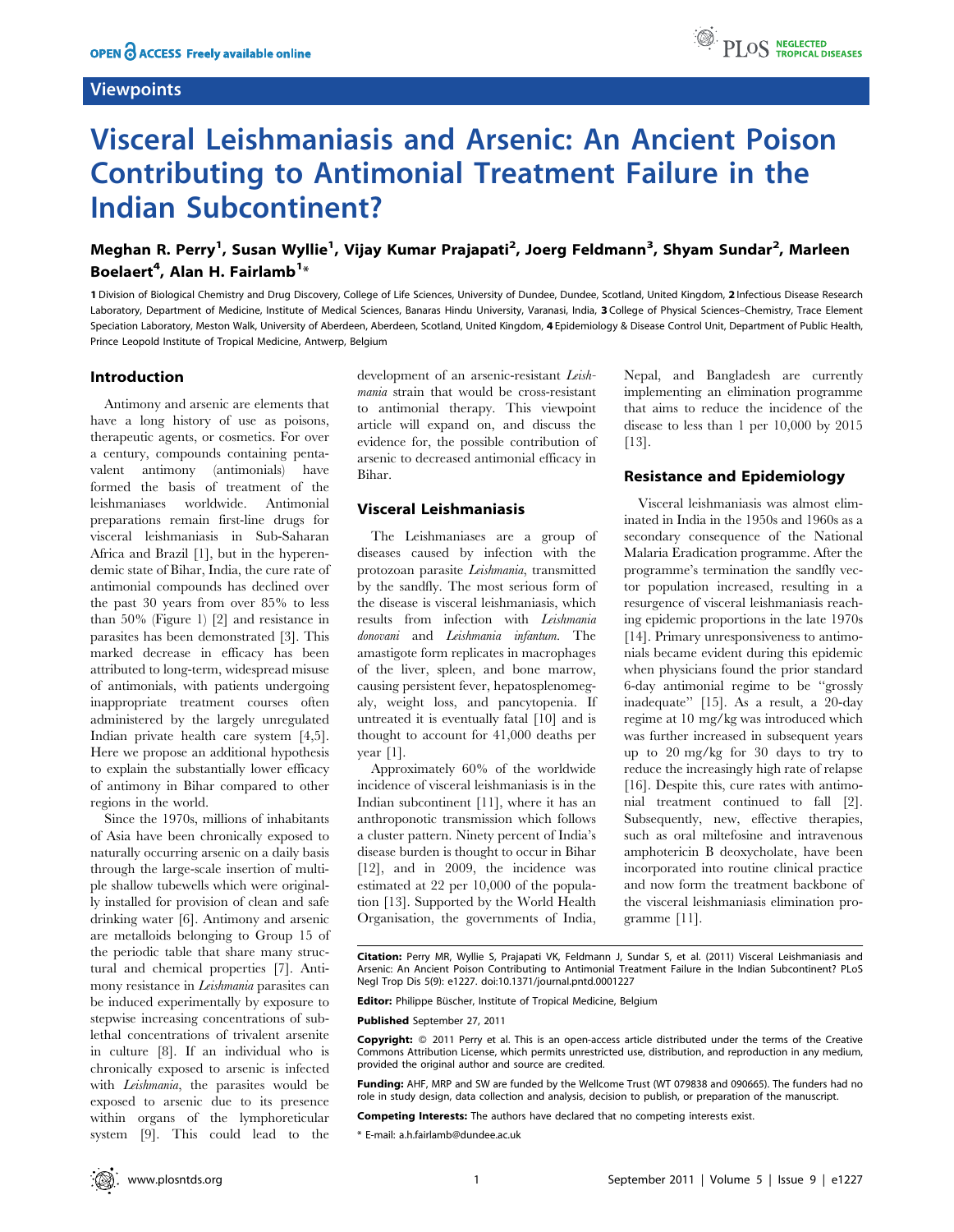#### **Viewpoints**



# Visceral Leishmaniasis and Arsenic: An Ancient Poison Contributing to Antimonial Treatment Failure in the Indian Subcontinent?

## Meghan R. Perry<sup>1</sup>, Susan Wyllie<sup>1</sup>, Vijay Kumar Prajapati<sup>2</sup>, Joerg Feldmann<sup>3</sup>, Shyam Sundar<sup>2</sup>, Marleen Boelaert<sup>4</sup>, Alan H. Fairlamb<sup>1</sup>\*

1 Division of Biological Chemistry and Drug Discovery, College of Life Sciences, University of Dundee, Dundee, Scotland, United Kingdom, 2 Infectious Disease Research Laboratory, Department of Medicine, Institute of Medical Sciences, Banaras Hindu University, Varanasi, India, 3 College of Physical Sciences-Chemistry, Trace Element Speciation Laboratory, Meston Walk, University of Aberdeen, Aberdeen, Scotland, United Kingdom, 4 Epidemiology & Disease Control Unit, Department of Public Health, Prince Leopold Institute of Tropical Medicine, Antwerp, Belgium

#### Introduction

Antimony and arsenic are elements that have a long history of use as poisons, therapeutic agents, or cosmetics. For over a century, compounds containing pentavalent antimony (antimonials) have formed the basis of treatment of the leishmaniases worldwide. Antimonial preparations remain first-line drugs for visceral leishmaniasis in Sub-Saharan Africa and Brazil [1], but in the hyperendemic state of Bihar, India, the cure rate of antimonial compounds has declined over the past 30 years from over 85% to less than 50% (Figure 1) [2] and resistance in parasites has been demonstrated [3]. This marked decrease in efficacy has been attributed to long-term, widespread misuse of antimonials, with patients undergoing inappropriate treatment courses often administered by the largely unregulated Indian private health care system [4,5]. Here we propose an additional hypothesis to explain the substantially lower efficacy of antimony in Bihar compared to other regions in the world.

Since the 1970s, millions of inhabitants of Asia have been chronically exposed to naturally occurring arsenic on a daily basis through the large-scale insertion of multiple shallow tubewells which were originally installed for provision of clean and safe drinking water [6]. Antimony and arsenic are metalloids belonging to Group 15 of the periodic table that share many structural and chemical properties [7]. Antimony resistance in Leishmania parasites can be induced experimentally by exposure to stepwise increasing concentrations of sublethal concentrations of trivalent arsenite in culture [8]. If an individual who is chronically exposed to arsenic is infected with Leishmania, the parasites would be exposed to arsenic due to its presence within organs of the lymphoreticular system [9]. This could lead to the development of an arsenic-resistant Leishmania strain that would be cross-resistant to antimonial therapy. This viewpoint article will expand on, and discuss the evidence for, the possible contribution of arsenic to decreased antimonial efficacy in Bihar.

#### Visceral Leishmaniasis

The Leishmaniases are a group of diseases caused by infection with the protozoan parasite Leishmania, transmitted by the sandfly. The most serious form of the disease is visceral leishmaniasis, which results from infection with Leishmania donovani and Leishmania infantum. The amastigote form replicates in macrophages of the liver, spleen, and bone marrow, causing persistent fever, hepatosplenomegaly, weight loss, and pancytopenia. If untreated it is eventually fatal [10] and is thought to account for 41,000 deaths per year [1].

Approximately 60% of the worldwide incidence of visceral leishmaniasis is in the Indian subcontinent [11], where it has an anthroponotic transmission which follows a cluster pattern. Ninety percent of India's disease burden is thought to occur in Bihar [12], and in 2009, the incidence was estimated at 22 per 10,000 of the population [13]. Supported by the World Health Organisation, the governments of India, Nepal, and Bangladesh are currently implementing an elimination programme that aims to reduce the incidence of the disease to less than 1 per 10,000 by 2015 [13].

#### Resistance and Epidemiology

Visceral leishmaniasis was almost eliminated in India in the 1950s and 1960s as a secondary consequence of the National Malaria Eradication programme. After the programme's termination the sandfly vector population increased, resulting in a resurgence of visceral leishmaniasis reaching epidemic proportions in the late 1970s [14]. Primary unresponsiveness to antimonials became evident during this epidemic when physicians found the prior standard 6-day antimonial regime to be ''grossly inadequate'' [15]. As a result, a 20-day regime at 10 mg/kg was introduced which was further increased in subsequent years up to 20 mg/kg for 30 days to try to reduce the increasingly high rate of relapse [16]. Despite this, cure rates with antimonial treatment continued to fall [2]. Subsequently, new, effective therapies, such as oral miltefosine and intravenous amphotericin B deoxycholate, have been incorporated into routine clinical practice and now form the treatment backbone of the visceral leishmaniasis elimination programme [11].

Editor: Philippe Büscher, Institute of Tropical Medicine, Belgium

Published September 27, 2011

Funding: AHF, MRP and SW are funded by the Wellcome Trust (WT 079838 and 090665). The funders had no role in study design, data collection and analysis, decision to publish, or preparation of the manuscript.

Competing Interests: The authors have declared that no competing interests exist.

\* E-mail: a.h.fairlamb@dundee.ac.uk

Citation: Perry MR, Wyllie S, Prajapati VK, Feldmann J, Sundar S, et al. (2011) Visceral Leishmaniasis and Arsenic: An Ancient Poison Contributing to Antimonial Treatment Failure in the Indian Subcontinent? PLoS Negl Trop Dis 5(9): e1227. doi:10.1371/journal.pntd.0001227

Copyright: © 2011 Perry et al. This is an open-access article distributed under the terms of the Creative Commons Attribution License, which permits unrestricted use, distribution, and reproduction in any medium, provided the original author and source are credited.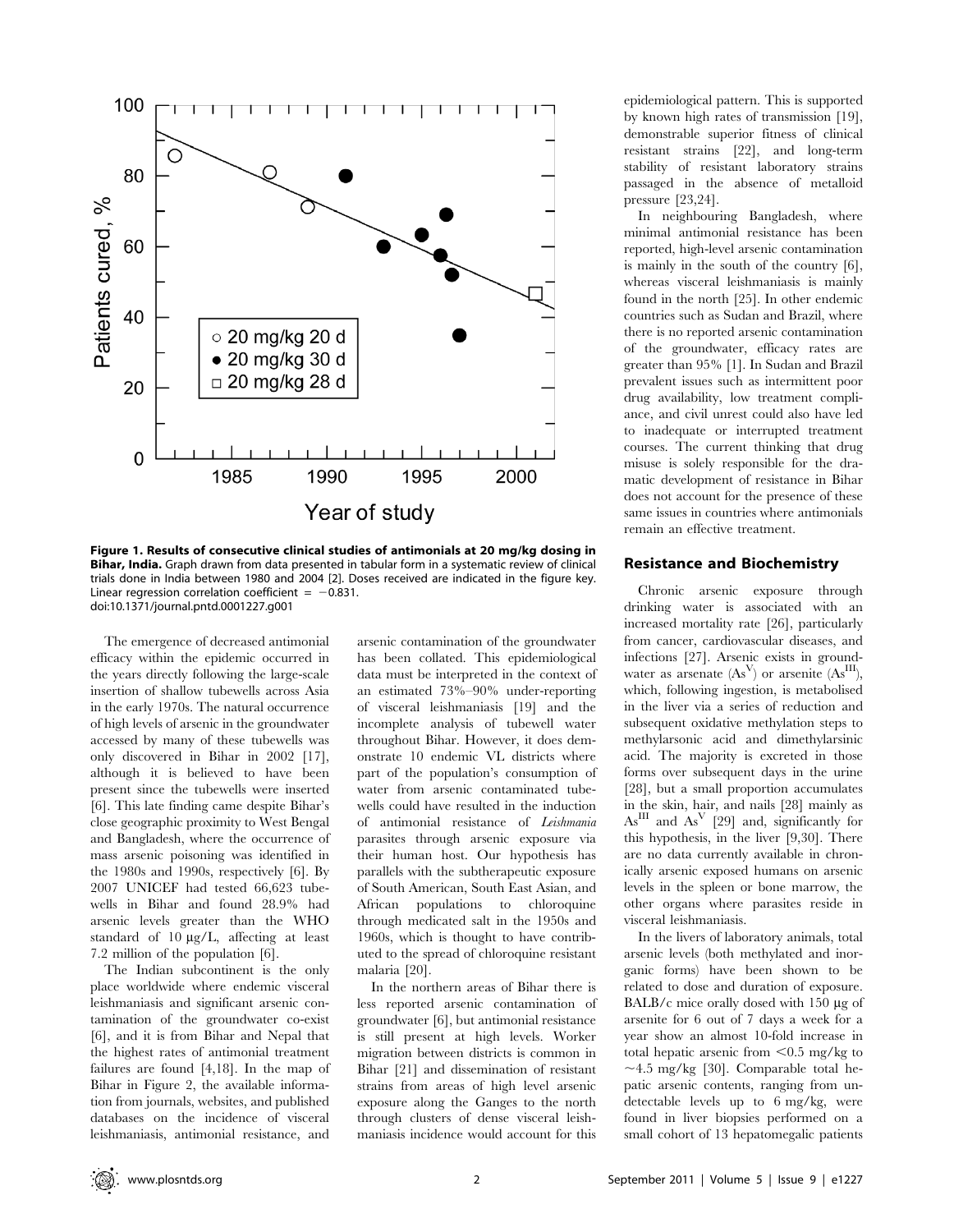

Figure 1. Results of consecutive clinical studies of antimonials at 20 mg/kg dosing in Bihar, India. Graph drawn from data presented in tabular form in a systematic review of clinical trials done in India between 1980 and 2004 [2]. Doses received are indicated in the figure key. Linear regression correlation coefficient =  $-0.831$ . doi:10.1371/journal.pntd.0001227.g001

The emergence of decreased antimonial efficacy within the epidemic occurred in the years directly following the large-scale insertion of shallow tubewells across Asia in the early 1970s. The natural occurrence of high levels of arsenic in the groundwater accessed by many of these tubewells was only discovered in Bihar in 2002 [17], although it is believed to have been present since the tubewells were inserted [6]. This late finding came despite Bihar's close geographic proximity to West Bengal and Bangladesh, where the occurrence of mass arsenic poisoning was identified in the 1980s and 1990s, respectively [6]. By 2007 UNICEF had tested 66,623 tubewells in Bihar and found 28.9% had arsenic levels greater than the WHO standard of 10  $\mu$ g/L, affecting at least 7.2 million of the population [6].

The Indian subcontinent is the only place worldwide where endemic visceral leishmaniasis and significant arsenic contamination of the groundwater co-exist [6], and it is from Bihar and Nepal that the highest rates of antimonial treatment failures are found [4,18]. In the map of Bihar in Figure 2, the available information from journals, websites, and published databases on the incidence of visceral leishmaniasis, antimonial resistance, and arsenic contamination of the groundwater has been collated. This epidemiological data must be interpreted in the context of an estimated 73%–90% under-reporting of visceral leishmaniasis [19] and the incomplete analysis of tubewell water throughout Bihar. However, it does demonstrate 10 endemic VL districts where part of the population's consumption of water from arsenic contaminated tubewells could have resulted in the induction of antimonial resistance of Leishmania parasites through arsenic exposure via their human host. Our hypothesis has parallels with the subtherapeutic exposure of South American, South East Asian, and African populations to chloroquine through medicated salt in the 1950s and 1960s, which is thought to have contributed to the spread of chloroquine resistant malaria [20].

In the northern areas of Bihar there is less reported arsenic contamination of groundwater [6], but antimonial resistance is still present at high levels. Worker migration between districts is common in Bihar [21] and dissemination of resistant strains from areas of high level arsenic exposure along the Ganges to the north through clusters of dense visceral leishmaniasis incidence would account for this

epidemiological pattern. This is supported by known high rates of transmission [19], demonstrable superior fitness of clinical resistant strains [22], and long-term stability of resistant laboratory strains passaged in the absence of metalloid pressure [23,24].

In neighbouring Bangladesh, where minimal antimonial resistance has been reported, high-level arsenic contamination is mainly in the south of the country [6], whereas visceral leishmaniasis is mainly found in the north [25]. In other endemic countries such as Sudan and Brazil, where there is no reported arsenic contamination of the groundwater, efficacy rates are greater than 95% [1]. In Sudan and Brazil prevalent issues such as intermittent poor drug availability, low treatment compliance, and civil unrest could also have led to inadequate or interrupted treatment courses. The current thinking that drug misuse is solely responsible for the dramatic development of resistance in Bihar does not account for the presence of these same issues in countries where antimonials remain an effective treatment.

#### Resistance and Biochemistry

Chronic arsenic exposure through drinking water is associated with an increased mortality rate [26], particularly from cancer, cardiovascular diseases, and infections [27]. Arsenic exists in groundwater as arsenate  $(As^V)$  or arsenite  $(As^{III})$ , which, following ingestion, is metabolised in the liver via a series of reduction and subsequent oxidative methylation steps to methylarsonic acid and dimethylarsinic acid. The majority is excreted in those forms over subsequent days in the urine [28], but a small proportion accumulates in the skin, hair, and nails [28] mainly as  $As^{III}$  and  $As^{V}$  [29] and, significantly for this hypothesis, in the liver [9,30]. There are no data currently available in chronically arsenic exposed humans on arsenic levels in the spleen or bone marrow, the other organs where parasites reside in visceral leishmaniasis.

In the livers of laboratory animals, total arsenic levels (both methylated and inorganic forms) have been shown to be related to dose and duration of exposure. BALB/c mice orally dosed with  $150 \mu$ g of arsenite for 6 out of 7 days a week for a year show an almost 10-fold increase in total hepatic arsenic from  $<$ 0.5 mg/kg to  $\sim$ 4.5 mg/kg [30]. Comparable total hepatic arsenic contents, ranging from undetectable levels up to 6 mg/kg, were found in liver biopsies performed on a small cohort of 13 hepatomegalic patients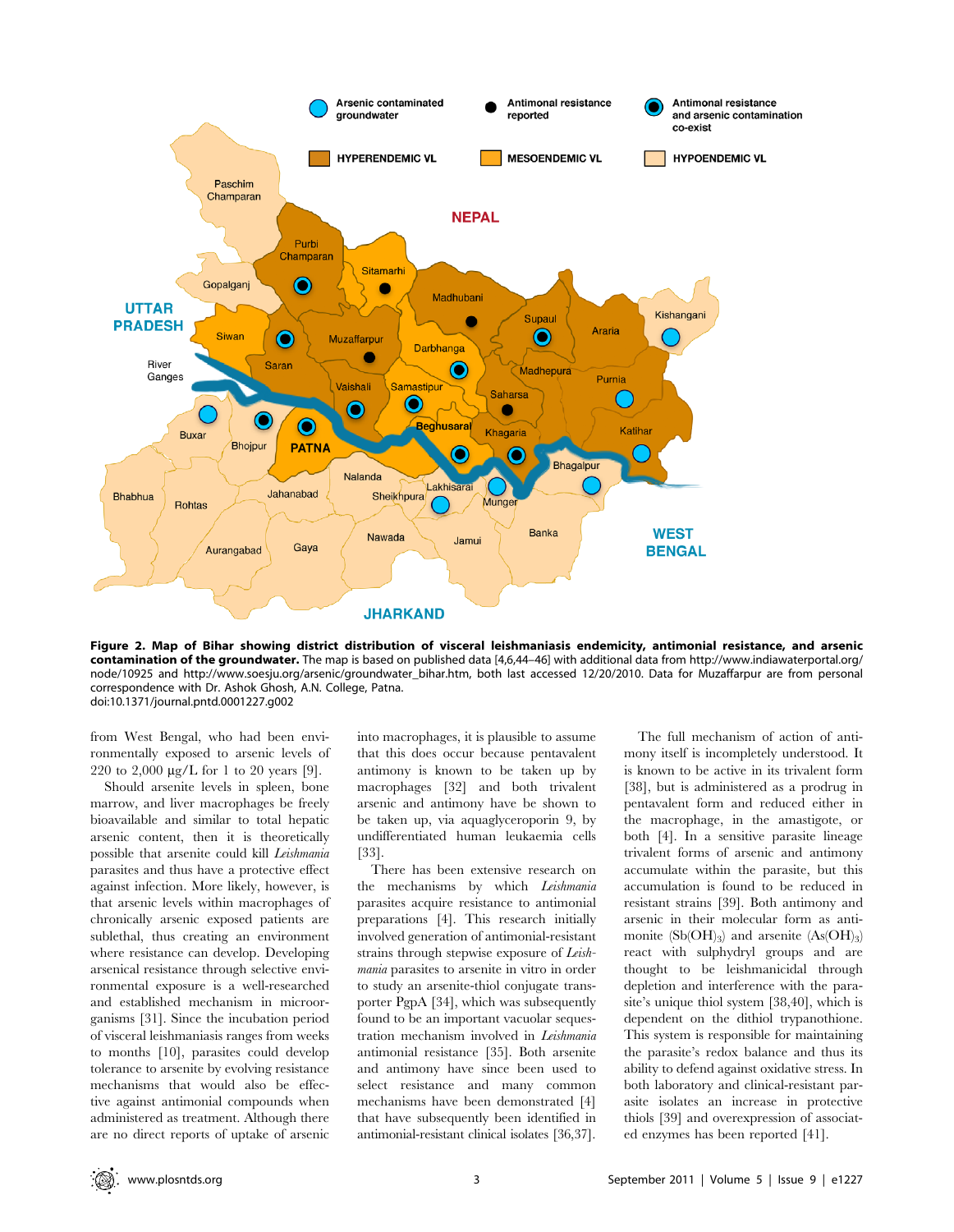

Figure 2. Map of Bihar showing district distribution of visceral leishmaniasis endemicity, antimonial resistance, and arsenic contamination of the groundwater. The map is based on published data [4,6,44-46] with additional data from http://www.indiawaterportal.org/ node/10925 and http://www.soesju.org/arsenic/groundwater\_bihar.htm, both last accessed 12/20/2010. Data for Muzaffarpur are from personal correspondence with Dr. Ashok Ghosh, A.N. College, Patna. doi:10.1371/journal.pntd.0001227.g002

from West Bengal, who had been environmentally exposed to arsenic levels of 220 to 2,000  $\mu$ g/L for 1 to 20 years [9].

Should arsenite levels in spleen, bone marrow, and liver macrophages be freely bioavailable and similar to total hepatic arsenic content, then it is theoretically possible that arsenite could kill Leishmania parasites and thus have a protective effect against infection. More likely, however, is that arsenic levels within macrophages of chronically arsenic exposed patients are sublethal, thus creating an environment where resistance can develop. Developing arsenical resistance through selective environmental exposure is a well-researched and established mechanism in microorganisms [31]. Since the incubation period of visceral leishmaniasis ranges from weeks to months [10], parasites could develop tolerance to arsenite by evolving resistance mechanisms that would also be effective against antimonial compounds when administered as treatment. Although there are no direct reports of uptake of arsenic into macrophages, it is plausible to assume that this does occur because pentavalent antimony is known to be taken up by macrophages [32] and both trivalent arsenic and antimony have be shown to be taken up, via aquaglyceroporin 9, by undifferentiated human leukaemia cells [33].

There has been extensive research on the mechanisms by which Leishmania parasites acquire resistance to antimonial preparations [4]. This research initially involved generation of antimonial-resistant strains through stepwise exposure of Leishmania parasites to arsenite in vitro in order to study an arsenite-thiol conjugate transporter PgpA [34], which was subsequently found to be an important vacuolar sequestration mechanism involved in Leishmania antimonial resistance [35]. Both arsenite and antimony have since been used to select resistance and many common mechanisms have been demonstrated [4] that have subsequently been identified in antimonial-resistant clinical isolates [36,37].

The full mechanism of action of antimony itself is incompletely understood. It is known to be active in its trivalent form [38], but is administered as a prodrug in pentavalent form and reduced either in the macrophage, in the amastigote, or both [4]. In a sensitive parasite lineage trivalent forms of arsenic and antimony accumulate within the parasite, but this accumulation is found to be reduced in resistant strains [39]. Both antimony and arsenic in their molecular form as antimonite  $(Sb(OH)_3)$  and arsenite  $(As(OH)_3)$ react with sulphydryl groups and are thought to be leishmanicidal through depletion and interference with the parasite's unique thiol system [38,40], which is dependent on the dithiol trypanothione. This system is responsible for maintaining the parasite's redox balance and thus its ability to defend against oxidative stress. In both laboratory and clinical-resistant parasite isolates an increase in protective thiols [39] and overexpression of associated enzymes has been reported [41].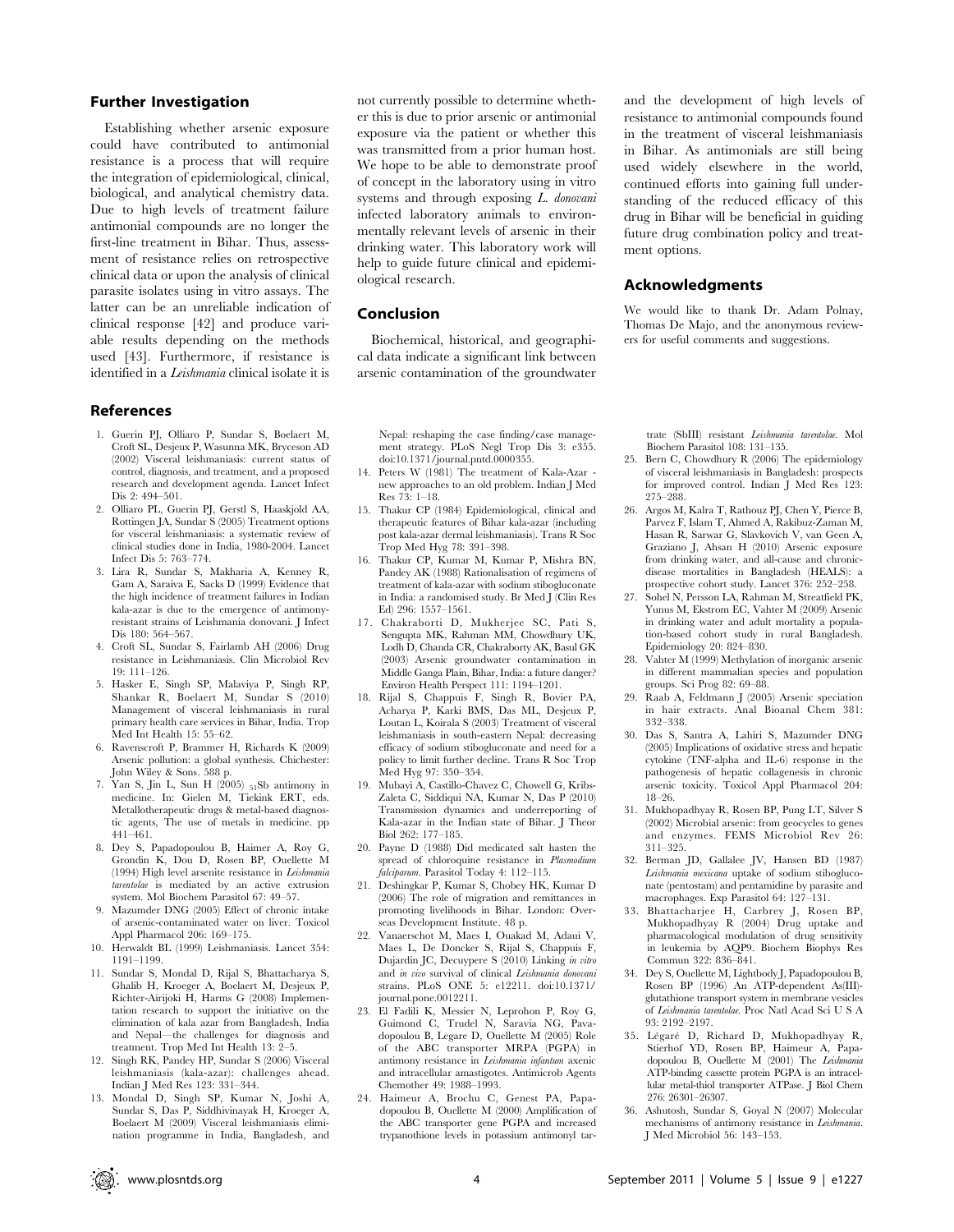#### Further Investigation

Establishing whether arsenic exposure could have contributed to antimonial resistance is a process that will require the integration of epidemiological, clinical, biological, and analytical chemistry data. Due to high levels of treatment failure antimonial compounds are no longer the first-line treatment in Bihar. Thus, assessment of resistance relies on retrospective clinical data or upon the analysis of clinical parasite isolates using in vitro assays. The latter can be an unreliable indication of clinical response [42] and produce variable results depending on the methods used [43]. Furthermore, if resistance is identified in a Leishmania clinical isolate it is

#### References

- 1. Guerin PJ, Olliaro P, Sundar S, Boelaert M, Croft SL, Desjeux P, Wasunna MK, Bryceson AD (2002) Visceral leishmaniasis: current status of control, diagnosis, and treatment, and a proposed research and development agenda. Lancet Infect Dis 2: 494–501.
- 2. Olliaro PL, Guerin PJ, Gerstl S, Haaskjold AA, Rottingen JA, Sundar S (2005) Treatment options for visceral leishmaniasis: a systematic review of clinical studies done in India, 1980-2004. Lancet Infect Dis 5: 763–774.
- 3. Lira R, Sundar S, Makharia A, Kenney R, Gam A, Saraiva E, Sacks D (1999) Evidence that the high incidence of treatment failures in Indian kala-azar is due to the emergence of antimonyresistant strains of Leishmania donovani. J Infect Dis 180: 564–567.
- 4. Croft SL, Sundar S, Fairlamb AH (2006) Drug resistance in Leishmaniasis. Clin Microbiol Rev 19: 111–126.
- 5. Hasker E, Singh SP, Malaviya P, Singh RP, Shankar R, Boelaert M, Sundar S (2010) Management of visceral leishmaniasis in rural primary health care services in Bihar, India. Trop Med Int Health 15: 55–62.
- 6. Ravenscroft P, Brammer H, Richards K (2009) Arsenic pollution: a global synthesis. Chichester: John Wiley & Sons. 588 p.
- 7. Yan S, Jin L, Sun H  $(2005)$  51Sb antimony in medicine. In: Gielen M, Tiekink ERT, eds. Metallotherapeutic drugs & metal-based diagnostic agents, The use of metals in medicine. pp 441–461.
- 8. Dey S, Papadopoulou B, Haimer A, Roy G, Grondin K, Dou D, Rosen BP, Ouellette M (1994) High level arsenite resistance in Leishmania tarentolae is mediated by an active extrusion system. Mol Biochem Parasitol 67: 49–57.
- 9. Mazumder DNG (2005) Effect of chronic intake of arsenic-contaminated water on liver. Toxicol Appl Pharmacol 206: 169–175.
- 10. Herwaldt BL (1999) Leishmaniasis. Lancet 354: 1191–1199.
- 11. Sundar S, Mondal D, Rijal S, Bhattacharya S, Ghalib H, Kroeger A, Boelaert M, Desjeux P, Richter-Airijoki H, Harms G (2008) Implementation research to support the initiative on the elimination of kala azar from Bangladesh, India and Nepal—the challenges for diagnosis and treatment. Trop Med Int Health 13: 2–5.
- 12. Singh RK, Pandey HP, Sundar S (2006) Visceral leishmaniasis (kala-azar): challenges ahead. Indian J Med Res 123: 331–344.
- 13. Mondal D, Singh SP, Kumar N, Joshi A, Sundar S, Das P, Siddhivinayak H, Kroeger A, Boelaert M (2009) Visceral leishmaniasis elimination programme in India, Bangladesh, and

not currently possible to determine whether this is due to prior arsenic or antimonial exposure via the patient or whether this was transmitted from a prior human host. We hope to be able to demonstrate proof of concept in the laboratory using in vitro systems and through exposing L. donovani infected laboratory animals to environmentally relevant levels of arsenic in their drinking water. This laboratory work will help to guide future clinical and epidemiological research.

#### Conclusion

Biochemical, historical, and geographical data indicate a significant link between arsenic contamination of the groundwater

Nepal: reshaping the case finding/case management strategy. PLoS Negl Trop Dis 3: e355. doi:10.1371/journal.pntd.0000355.

- 14. Peters W (1981) The treatment of Kala-Azar new approaches to an old problem. Indian J Med Res 73: 1–18.
- 15. Thakur CP (1984) Epidemiological, clinical and therapeutic features of Bihar kala-azar (including post kala-azar dermal leishmaniasis). Trans R Soc Trop Med Hyg 78: 391–398.
- 16. Thakur CP, Kumar M, Kumar P, Mishra BN, Pandey AK (1988) Rationalisation of regimens of treatment of kala-azar with sodium stibogluconate in India: a randomised study. Br Med J (Clin Res Ed) 296: 1557–1561.
- 17. Chakraborti D, Mukherjee SC, Pati S, Sengupta MK, Rahman MM, Chowdhury UK, Lodh D, Chanda CR, Chakraborty AK, Basul GK (2003) Arsenic groundwater contamination in Middle Ganga Plain, Bihar, India: a future danger? Environ Health Perspect 111: 1194–1201.
- 18. Rijal S, Chappuis F, Singh R, Bovier PA, Acharya P, Karki BMS, Das ML, Desjeux P, Loutan L, Koirala S (2003) Treatment of visceral leishmaniasis in south-eastern Nepal: decreasing efficacy of sodium stibogluconate and need for a policy to limit further decline. Trans R Soc Trop Med Hyg 97: 350–354.
- 19. Mubayi A, Castillo-Chavez C, Chowell G, Kribs-Zaleta C, Siddiqui NA, Kumar N, Das P (2010) Transmission dynamics and underreporting of Kala-azar in the Indian state of Bihar. J Theor Biol 262: 177–185.
- 20. Payne D (1988) Did medicated salt hasten the spread of chloroquine resistance in Plasmodium falciparum. Parasitol Today 4: 112–115.
- 21. Deshingkar P, Kumar S, Chobey HK, Kumar D (2006) The role of migration and remittances in promoting livelihoods in Bihar. London: Overseas Development Institute. 48 p.
- 22. Vanaerschot M, Maes I, Ouakad M, Adaui V, Maes L, De Doncker S, Rijal S, Chappuis F, Dujardin JC, Decuypere S (2010) Linking in vitro and in vivo survival of clinical Leishmania donovani strains. PLoS ONE 5: e12211. doi:10.1371/ journal.pone.0012211.
- 23. El Fadili K, Messier N, Leprohon P, Roy G, Guimond C, Trudel N, Saravia NG, Pavadopoulou B, Legare D, Ouellette M (2005) Role of the ABC transporter MRPA (PGPA) in antimony resistance in Leishmania infantum axenic and intracellular amastigotes. Antimicrob Agents Chemother 49: 1988–1993.
- 24. Haimeur A, Brochu C, Genest PA, Papadopoulou B, Ouellette M (2000) Amplification of the ABC transporter gene PGPA and increased trypanothione levels in potassium antimonyl tar-

and the development of high levels of resistance to antimonial compounds found in the treatment of visceral leishmaniasis in Bihar. As antimonials are still being used widely elsewhere in the world, continued efforts into gaining full understanding of the reduced efficacy of this drug in Bihar will be beneficial in guiding future drug combination policy and treatment options.

### Acknowledgments

We would like to thank Dr. Adam Polnay, Thomas De Majo, and the anonymous reviewers for useful comments and suggestions.

trate (SbIII) resistant Leishmania tarentolae. Mol Biochem Parasitol 108: 131–135.

- 25. Bern C, Chowdhury R (2006) The epidemiology of visceral leishmaniasis in Bangladesh: prospects for improved control. Indian J Med Res 123: 275–288.
- 26. Argos M, Kalra T, Rathouz PJ, Chen Y, Pierce B, Parvez F, Islam T, Ahmed A, Rakibuz-Zaman M, Hasan R, Sarwar G, Slavkovich V, van Geen A, Graziano J, Ahsan H (2010) Arsenic exposure from drinking water, and all-cause and chronicdisease mortalities in Bangladesh (HEALS): a prospective cohort study. Lancet 376: 252–258.
- 27. Sohel N, Persson LA, Rahman M, Streatfield PK, Yunus M, Ekstrom EC, Vahter M (2009) Arsenic in drinking water and adult mortality a population-based cohort study in rural Bangladesh. Epidemiology 20: 824–830.
- 28. Vahter M (1999) Methylation of inorganic arsenic in different mammalian species and population groups. Sci Prog 82: 69–88.
- 29. Raab A, Feldmann J (2005) Arsenic speciation in hair extracts. Anal Bioanal Chem 381: 332–338.
- 30. Das S, Santra A, Lahiri S, Mazumder DNG (2005) Implications of oxidative stress and hepatic cytokine (TNF-alpha and IL-6) response in the pathogenesis of hepatic collagenesis in chronic arsenic toxicity. Toxicol Appl Pharmacol 204: 18–26.
- 31. Mukhopadhyay R, Rosen BP, Pung LT, Silver S (2002) Microbial arsenic: from geocycles to genes and enzymes. FEMS Microbiol Rev 26: 311–325.
- 32. Berman JD, Gallalee JV, Hansen BD (1987) Leishmania mexicana uptake of sodium stibogluconate (pentostam) and pentamidine by parasite and macrophages. Exp Parasitol 64: 127–131.
- 33. Bhattacharjee H, Carbrey J, Rosen BP, Mukhopadhyay R (2004) Drug uptake and pharmacological modulation of drug sensitivity in leukemia by AQP9. Biochem Biophys Res Commun 322: 836–841.
- 34. Dey S, Ouellette M, Lightbody J, Papadopoulou B, Rosen BP (1996) An ATP-dependent As(III) glutathione transport system in membrane vesicles of Leishmania tarentolae. Proc Natl Acad Sci U S A 93: 2192–2197.
- 35. Légaré D, Richard D, Mukhopadhyay R, Stierhof YD, Rosen BP, Haimeur A, Papadopoulou B, Ouellette M (2001) The Leishmania ATP-binding cassette protein PGPA is an intracellular metal-thiol transporter ATPase. J Biol Chem 276: 26301–26307.
- 36. Ashutosh, Sundar S, Goyal N (2007) Molecular mechanisms of antimony resistance in Leishmania. J Med Microbiol 56: 143–153.